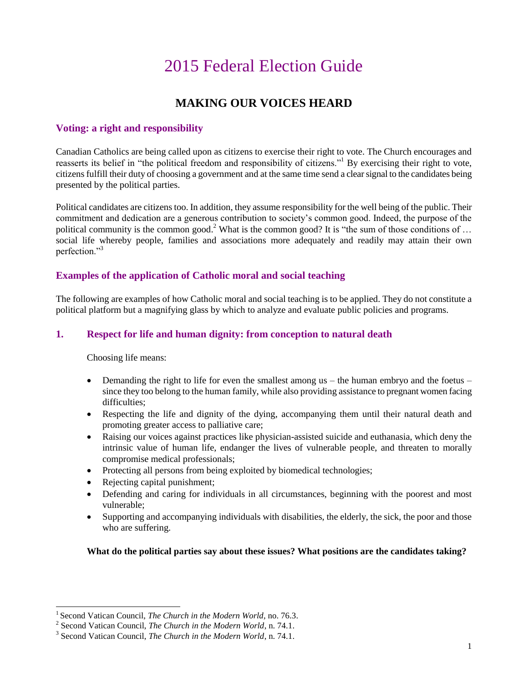# 2015 Federal Election Guide

# **MAKING OUR VOICES HEARD**

## **Voting: a right and responsibility**

Canadian Catholics are being called upon as citizens to exercise their right to vote. The Church encourages and reasserts its belief in "the political freedom and responsibility of citizens."<sup>1</sup> By exercising their right to vote, citizensfulfill their duty of choosing a government and at the same time send a clear signal to the candidates being presented by the political parties.

Political candidates are citizens too. In addition, they assume responsibility for the well being of the public. Their commitment and dedication are a generous contribution to society's common good. Indeed, the purpose of the political community is the common good.<sup>2</sup> What is the common good? It is "the sum of those conditions of ... social life whereby people, families and associations more adequately and readily may attain their own perfection."<sup>3</sup>

#### **Examples of the application of Catholic moral and social teaching**

The following are examples of how Catholic moral and social teaching is to be applied. They do not constitute a political platform but a magnifying glass by which to analyze and evaluate public policies and programs.

### **1. Respect for life and human dignity: from conception to natural death**

Choosing life means:

l

- $\bullet$  Demanding the right to life for even the smallest among us the human embryo and the foetus since they too belong to the human family, while also providing assistance to pregnant women facing difficulties;
- Respecting the life and dignity of the dying, accompanying them until their natural death and promoting greater access to palliative care;
- Raising our voices against practices like physician-assisted suicide and euthanasia, which deny the intrinsic value of human life, endanger the lives of vulnerable people, and threaten to morally compromise medical professionals;
- Protecting all persons from being exploited by biomedical technologies;
- Rejecting capital punishment;
- Defending and caring for individuals in all circumstances, beginning with the poorest and most vulnerable;
- Supporting and accompanying individuals with disabilities, the elderly, the sick, the poor and those who are suffering.

#### **What do the political parties say about these issues? What positions are the candidates taking?**

<sup>&</sup>lt;sup>1</sup> Second Vatican Council, *The Church in the Modern World*, no. 76.3.

<sup>2</sup> Second Vatican Council, *The Church in the Modern World*, n. 74.1.

<sup>3</sup> Second Vatican Council, *The Church in the Modern World*, n. 74.1.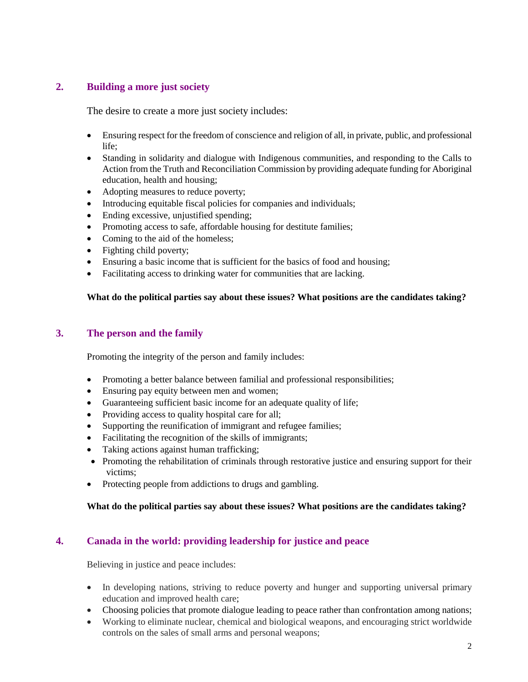# **2. Building a more just society**

The desire to create a more just society includes:

- Ensuring respect for the freedom of conscience and religion of all, in private, public, and professional life;
- Standing in solidarity and dialogue with Indigenous communities, and responding to the Calls to Action from the Truth and Reconciliation Commission by providing adequate funding for Aboriginal education, health and housing;
- Adopting measures to reduce poverty;
- Introducing equitable fiscal policies for companies and individuals;
- Ending excessive, unjustified spending;
- Promoting access to safe, affordable housing for destitute families;
- Coming to the aid of the homeless;
- Fighting child poverty;
- Ensuring a basic income that is sufficient for the basics of food and housing;
- Facilitating access to drinking water for communities that are lacking.

#### **What do the political parties say about these issues? What positions are the candidates taking?**

#### **3. The person and the family**

Promoting the integrity of the person and family includes:

- Promoting a better balance between familial and professional responsibilities;
- Ensuring pay equity between men and women;
- Guaranteeing sufficient basic income for an adequate quality of life;
- Providing access to quality hospital care for all;
- Supporting the reunification of immigrant and refugee families;
- Facilitating the recognition of the skills of immigrants;
- Taking actions against human trafficking;
- Promoting the rehabilitation of criminals through restorative justice and ensuring support for their victims;
- Protecting people from addictions to drugs and gambling.

#### **What do the political parties say about these issues? What positions are the candidates taking?**

# **4. Canada in the world: providing leadership for justice and peace**

Believing in justice and peace includes:

- In developing nations, striving to reduce poverty and hunger and supporting universal primary education and improved health care;
- Choosing policies that promote dialogue leading to peace rather than confrontation among nations;
- Working to eliminate nuclear, chemical and biological weapons, and encouraging strict worldwide controls on the sales of small arms and personal weapons;